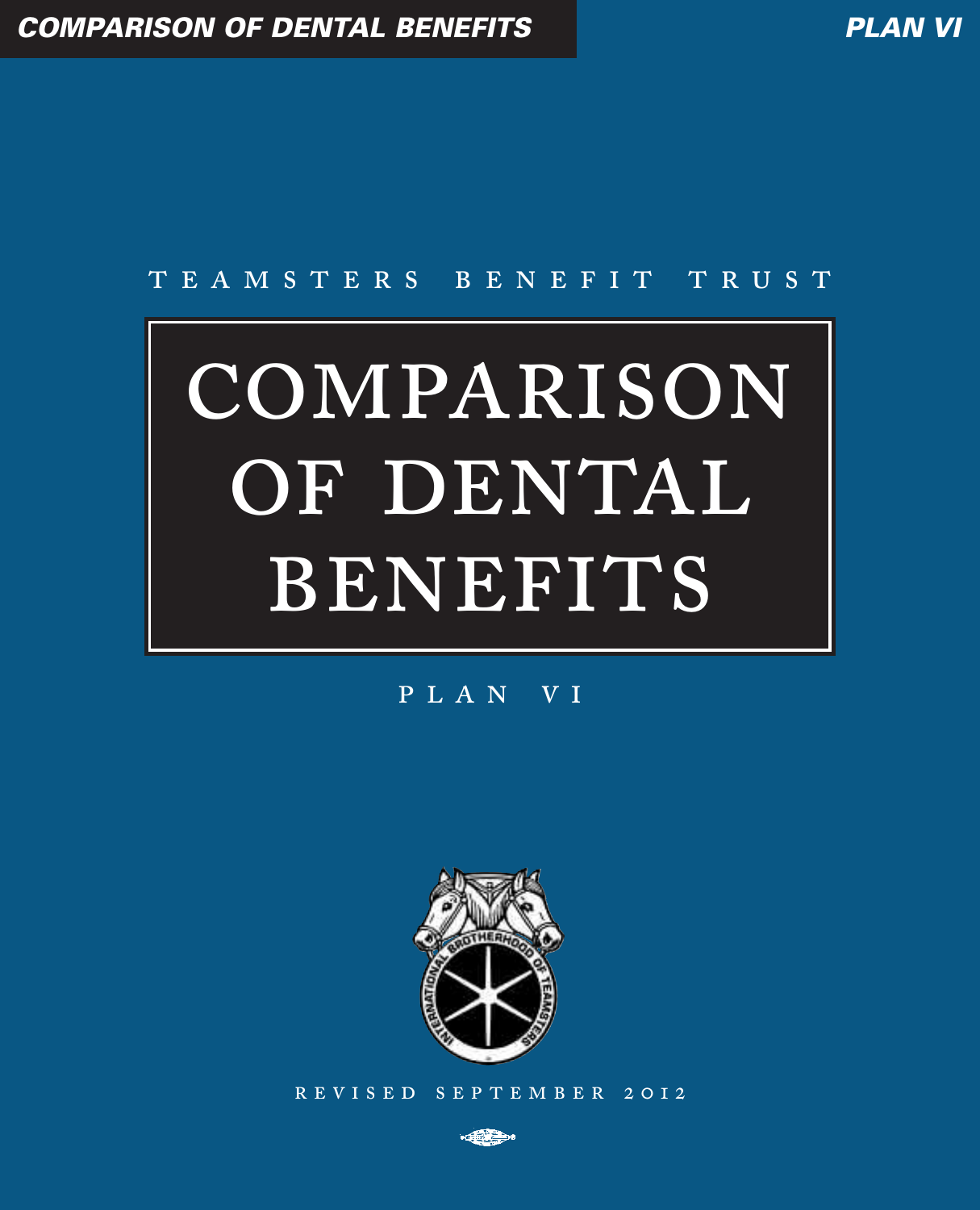## TEAMSTERS BENEFIT TRUST

# COMPARISON OF DENTAL BENEFITS

## PLAN VI



REVISED SEPTEMBER 2012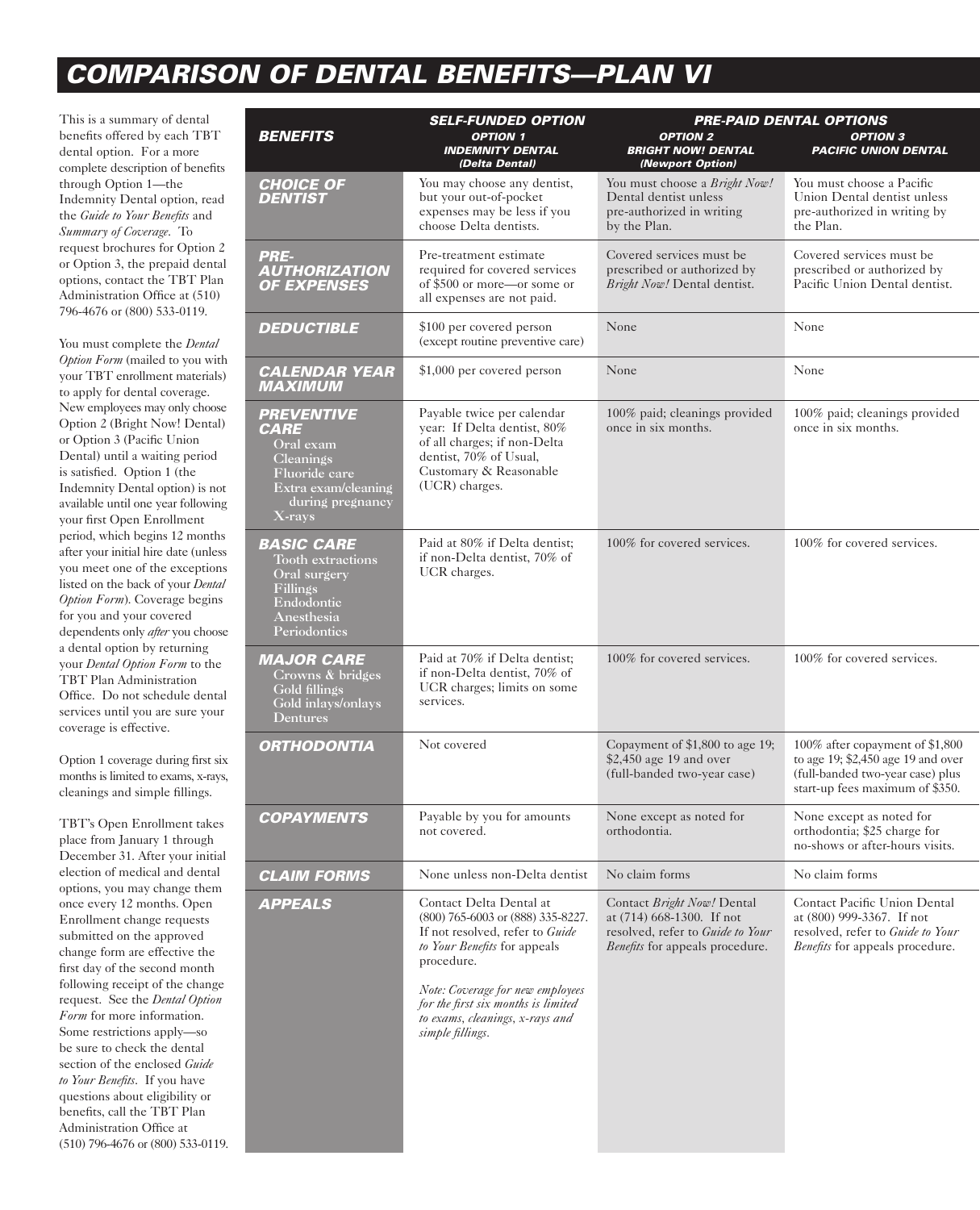# *COMPARISON OF DENTAL BENEFITS—PLAN VI*

This is a summary of dental benefits offered by each TBT dental option. For a more complete description of benefits through Option 1—the Indemnity Dental option, read the *Guide to Your Benefits* and *Summary of Coverage*. To request brochures for Option 2 or Option 3, the prepaid dental options, contact the TBT Plan Administration Office at (510) 796-4676 or (800) 533-0119.

You must complete the *Dental Option Form* (mailed to you with your TBT enrollment materials) to apply for dental coverage. New employees may only choose Option 2 (Bright Now! Dental) or Option 3 (Pacific Union Dental) until a waiting period is satisfied. Option 1 (the Indemnity Dental option) is not available until one year following your first Open Enrollment period, which begins 12 months after your initial hire date (unless you meet one of the exceptions listed on the back of your *Dental Option Form*). Coverage begins for you and your covered dependents only *after* you choose a dental option by returning your *Dental Option Form* to the TBT Plan Administration Office. Do not schedule dental services until you are sure your coverage is effective.

Option 1 coverage during first six months is limited to exams, x-rays, cleanings and simple fillings.

TBT's Open Enrollment takes place from January 1 through December 31. After your initial election of medical and dental options, you may change them once every 12 months. Open Enrollment change requests submitted on the approved change form are effective the first day of the second month following receipt of the change request. See the *Dental Option Form* for more information. Some restrictions apply—so be sure to check the dental section of the enclosed *Guide to Your Benefits*. If you have questions about eligibility or benefits, call the TBT Plan Administration Office at (510) 796-4676 or (800) 533-0119.

|                                                                                                                                            | <b>SELF-FUNDED OPTION</b>                                                                                                                                                                                                                                                       | PRE-PAID DENTAL OPTIONS                                                                                                               |                                                                                                                                              |
|--------------------------------------------------------------------------------------------------------------------------------------------|---------------------------------------------------------------------------------------------------------------------------------------------------------------------------------------------------------------------------------------------------------------------------------|---------------------------------------------------------------------------------------------------------------------------------------|----------------------------------------------------------------------------------------------------------------------------------------------|
| <b>BENEFITS</b>                                                                                                                            | <b>OPTION 1</b><br><b>INDEMNITY DENTAL</b><br>(Delta Dental)                                                                                                                                                                                                                    | <b>OPTION 2</b><br><b>BRIGHT NOW! DENTAL</b><br>(Newport Option)                                                                      | <b>OPTION 3</b><br><b>PACIFIC UNION DENTAL</b>                                                                                               |
| <b>CHOICE OF</b><br><b>DENTIST</b>                                                                                                         | You may choose any dentist,<br>but your out-of-pocket<br>expenses may be less if you<br>choose Delta dentists.                                                                                                                                                                  | You must choose a Bright Now!<br>Dental dentist unless<br>pre-authorized in writing<br>by the Plan.                                   | You must choose a Pacific<br>Union Dental dentist unless<br>pre-authorized in writing by<br>the Plan.                                        |
| PRE-<br><b>AUTHORIZATION</b><br><b>OF EXPENSES</b>                                                                                         | Pre-treatment estimate<br>required for covered services<br>of \$500 or more—or some or<br>all expenses are not paid.                                                                                                                                                            | Covered services must be<br>prescribed or authorized by<br>Bright Now! Dental dentist.                                                | Covered services must be<br>prescribed or authorized by<br>Pacific Union Dental dentist.                                                     |
| <i><b>DEDUCTIBLE</b></i>                                                                                                                   | \$100 per covered person<br>(except routine preventive care)                                                                                                                                                                                                                    | None                                                                                                                                  | None                                                                                                                                         |
| <b>CALENDAR YEAR</b><br><b>MAXIMUM</b>                                                                                                     | \$1,000 per covered person                                                                                                                                                                                                                                                      | None                                                                                                                                  | None                                                                                                                                         |
| <b>PREVENTIVE</b><br><i><b>CARE</b></i><br>Oral exam<br>Cleanings<br>Fluoride care<br>Extra exam/cleaning<br>during pregnancy<br>$X$ -rays | Payable twice per calendar<br>year: If Delta dentist, 80%<br>of all charges; if non-Delta<br>dentist, 70% of Usual,<br>Customary & Reasonable<br>(UCR) charges.                                                                                                                 | 100% paid; cleanings provided<br>once in six months.                                                                                  | 100% paid; cleanings provided<br>once in six months.                                                                                         |
| <i><b>BASIC CARE</b></i><br><b>Tooth extractions</b><br>Oral surgery<br>Fillings<br>Endodontic<br>Anesthesia<br>Periodontics               | Paid at 80% if Delta dentist;<br>if non-Delta dentist, 70% of<br>UCR charges.                                                                                                                                                                                                   | 100% for covered services.                                                                                                            | 100% for covered services.                                                                                                                   |
| <b>MAJOR CARE</b><br>Crowns & bridges<br>Gold fillings<br>Gold inlays/onlays<br>Dentures                                                   | Paid at 70% if Delta dentist;<br>if non-Delta dentist, 70% of<br>UCR charges; limits on some<br>services.                                                                                                                                                                       | 100% for covered services.                                                                                                            | 100% for covered services.                                                                                                                   |
| <b>ORTHODONTIA</b>                                                                                                                         | Not covered                                                                                                                                                                                                                                                                     | Copayment of \$1,800 to age 19;<br>\$2,450 age 19 and over<br>(full-banded two-year case)                                             | 100% after copayment of \$1,800<br>to age 19; \$2,450 age 19 and over<br>(full-banded two-year case) plus<br>start-up fees maximum of \$350. |
| <b>COPAYMENTS</b>                                                                                                                          | Payable by you for amounts<br>not covered.                                                                                                                                                                                                                                      | None except as noted for<br>orthodontia.                                                                                              | None except as noted for<br>orthodontia; \$25 charge for<br>no-shows or after-hours visits.                                                  |
| <b>CLAIM FORMS</b>                                                                                                                         | None unless non-Delta dentist                                                                                                                                                                                                                                                   | No claim forms                                                                                                                        | No claim forms                                                                                                                               |
| <b>APPEALS</b>                                                                                                                             | Contact Delta Dental at<br>(800) 765-6003 or (888) 335-8227.<br>If not resolved, refer to Guide<br>to Your Benefits for appeals<br>procedure.<br>Note: Coverage for new employees<br>for the first six months is limited<br>to exams, cleanings, x-rays and<br>simple fillings. | Contact Bright Now! Dental<br>at (714) 668-1300. If not<br>resolved, refer to Guide to Your<br><i>Benefits</i> for appeals procedure. | Contact Pacific Union Dental<br>at (800) 999-3367. If not<br>resolved, refer to Guide to Your<br>Benefits for appeals procedure.             |
|                                                                                                                                            |                                                                                                                                                                                                                                                                                 |                                                                                                                                       |                                                                                                                                              |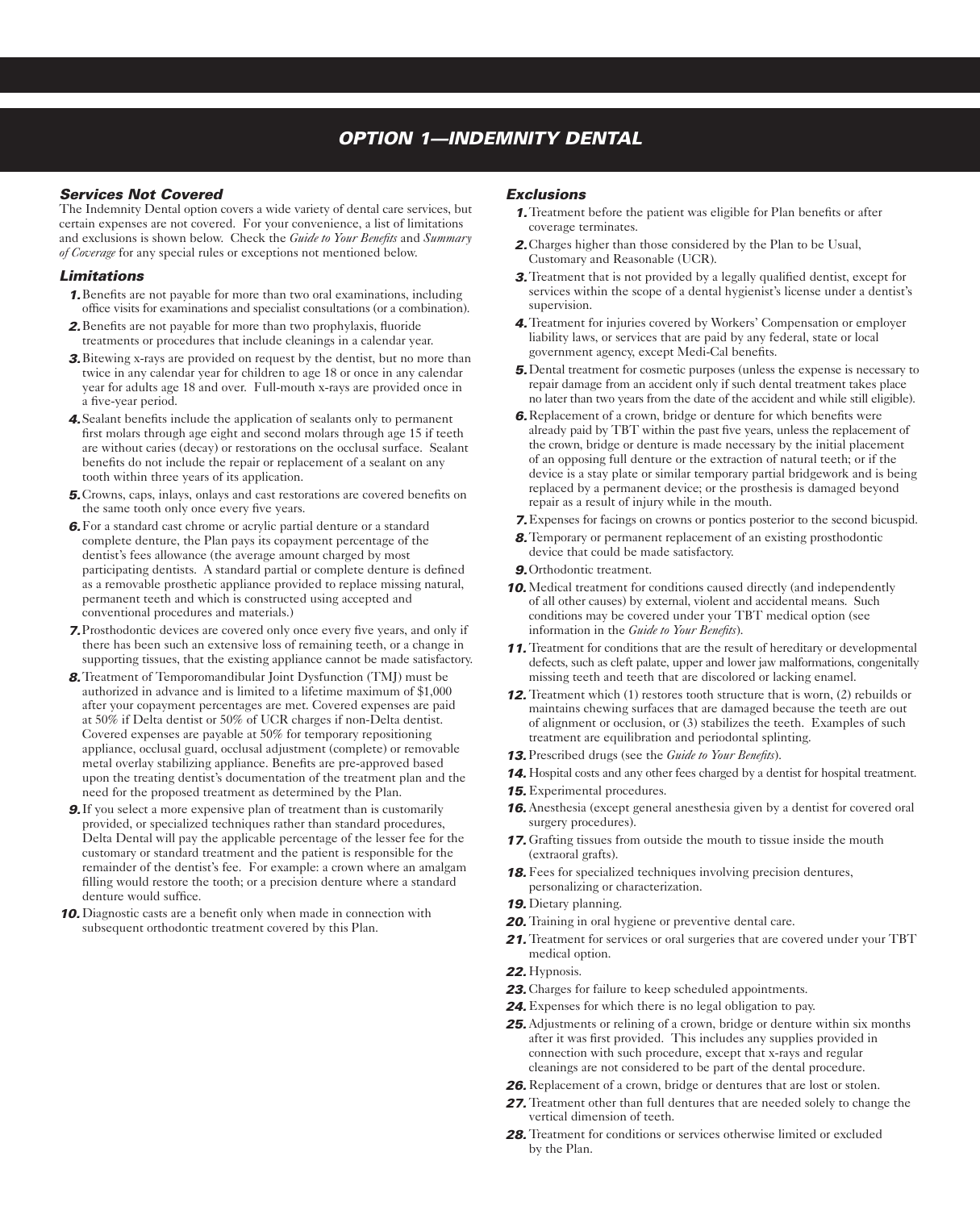## *OPTION 1—INDEMNITY DENTAL*

#### *Services Not Covered*

The Indemnity Dental option covers a wide variety of dental care services, but certain expenses are not covered. For your convenience, a list of limitations and exclusions is shown below. Check the *Guide to Your Benefits* and *Summary of Coverage* for any special rules or exceptions not mentioned below.

#### *Limitations*

- *1.*Benefits are not payable for more than two oral examinations, including office visits for examinations and specialist consultations (or a combination).
- *2.*Benefits are not payable for more than two prophylaxis, fluoride treatments or procedures that include cleanings in a calendar year.
- *3.*Bitewing x-rays are provided on request by the dentist, but no more than twice in any calendar year for children to age 18 or once in any calendar year for adults age 18 and over. Full-mouth x-rays are provided once in a five-year period.
- *4.*Sealant benefits include the application of sealants only to permanent first molars through age eight and second molars through age 15 if teeth are without caries (decay) or restorations on the occlusal surface. Sealant benefits do not include the repair or replacement of a sealant on any tooth within three years of its application.
- *5.*Crowns, caps, inlays, onlays and cast restorations are covered benefits on the same tooth only once every five years.
- *6.*For a standard cast chrome or acrylic partial denture or a standard complete denture, the Plan pays its copayment percentage of the dentist's fees allowance (the average amount charged by most participating dentists. A standard partial or complete denture is defined as a removable prosthetic appliance provided to replace missing natural, permanent teeth and which is constructed using accepted and conventional procedures and materials.)
- *7.*Prosthodontic devices are covered only once every five years, and only if there has been such an extensive loss of remaining teeth, or a change in supporting tissues, that the existing appliance cannot be made satisfactory.
- *8.*Treatment of Temporomandibular Joint Dysfunction (TMJ) must be authorized in advance and is limited to a lifetime maximum of \$1,000 after your copayment percentages are met. Covered expenses are paid at 50% if Delta dentist or 50% of UCR charges if non-Delta dentist. Covered expenses are payable at 50% for temporary repositioning appliance, occlusal guard, occlusal adjustment (complete) or removable metal overlay stabilizing appliance. Benefits are pre-approved based upon the treating dentist's documentation of the treatment plan and the need for the proposed treatment as determined by the Plan.
- *9.*If you select a more expensive plan of treatment than is customarily provided, or specialized techniques rather than standard procedures, Delta Dental will pay the applicable percentage of the lesser fee for the customary or standard treatment and the patient is responsible for the remainder of the dentist's fee. For example: a crown where an amalgam filling would restore the tooth; or a precision denture where a standard denture would suffice.
- *10.* Diagnostic casts are a benefit only when made in connection with subsequent orthodontic treatment covered by this Plan.

#### *Exclusions*

- *1.*Treatment before the patient was eligible for Plan benefits or after coverage terminates.
- *2.*Charges higher than those considered by the Plan to be Usual, Customary and Reasonable (UCR).
- *3.*Treatment that is not provided by a legally qualified dentist, except for services within the scope of a dental hygienist's license under a dentist's supervision.
- *4.*Treatment for injuries covered by Workers' Compensation or employer liability laws, or services that are paid by any federal, state or local government agency, except Medi-Cal benefits.
- *5.*Dental treatment for cosmetic purposes (unless the expense is necessary to repair damage from an accident only if such dental treatment takes place no later than two years from the date of the accident and while still eligible).
- *6.*Replacement of a crown, bridge or denture for which benefits were already paid by TBT within the past five years, unless the replacement of the crown, bridge or denture is made necessary by the initial placement of an opposing full denture or the extraction of natural teeth; or if the device is a stay plate or similar temporary partial bridgework and is being replaced by a permanent device; or the prosthesis is damaged beyond repair as a result of injury while in the mouth.
- *7.*Expenses for facings on crowns or pontics posterior to the second bicuspid.
- *8.*Temporary or permanent replacement of an existing prosthodontic device that could be made satisfactory.
- *9.*Orthodontic treatment.
- **10.** Medical treatment for conditions caused directly (and independently of all other causes) by external, violent and accidental means. Such conditions may be covered under your TBT medical option (see information in the *Guide to Your Benefits*).
- *11.* Treatment for conditions that are the result of hereditary or developmental defects, such as cleft palate, upper and lower jaw malformations, congenitally missing teeth and teeth that are discolored or lacking enamel.
- *12.* Treatment which (1) restores tooth structure that is worn, (2) rebuilds or maintains chewing surfaces that are damaged because the teeth are out of alignment or occlusion, or (3) stabilizes the teeth. Examples of such treatment are equilibration and periodontal splinting.
- *13.* Prescribed drugs (see the *Guide to Your Benefits*).
- *14.* Hospital costs and any other fees charged by a dentist for hospital treatment.
- *15.* Experimental procedures.
- *16.*Anesthesia (except general anesthesia given by a dentist for covered oral surgery procedures).
- *17.* Grafting tissues from outside the mouth to tissue inside the mouth (extraoral grafts).
- *18.*Fees for specialized techniques involving precision dentures, personalizing or characterization.
- *19.* Dietary planning.
- *20.* Training in oral hygiene or preventive dental care.
- 21. Treatment for services or oral surgeries that are covered under your TBT medical option.
- *22.* Hypnosis.
- *23.* Charges for failure to keep scheduled appointments.
- *24.* Expenses for which there is no legal obligation to pay.
- *25.*Adjustments or relining of a crown, bridge or denture within six months after it was first provided. This includes any supplies provided in connection with such procedure, except that x-rays and regular cleanings are not considered to be part of the dental procedure.
- *26.* Replacement of a crown, bridge or dentures that are lost or stolen.
- *27.* Treatment other than full dentures that are needed solely to change the vertical dimension of teeth.
- 28. Treatment for conditions or services otherwise limited or excluded by the Plan.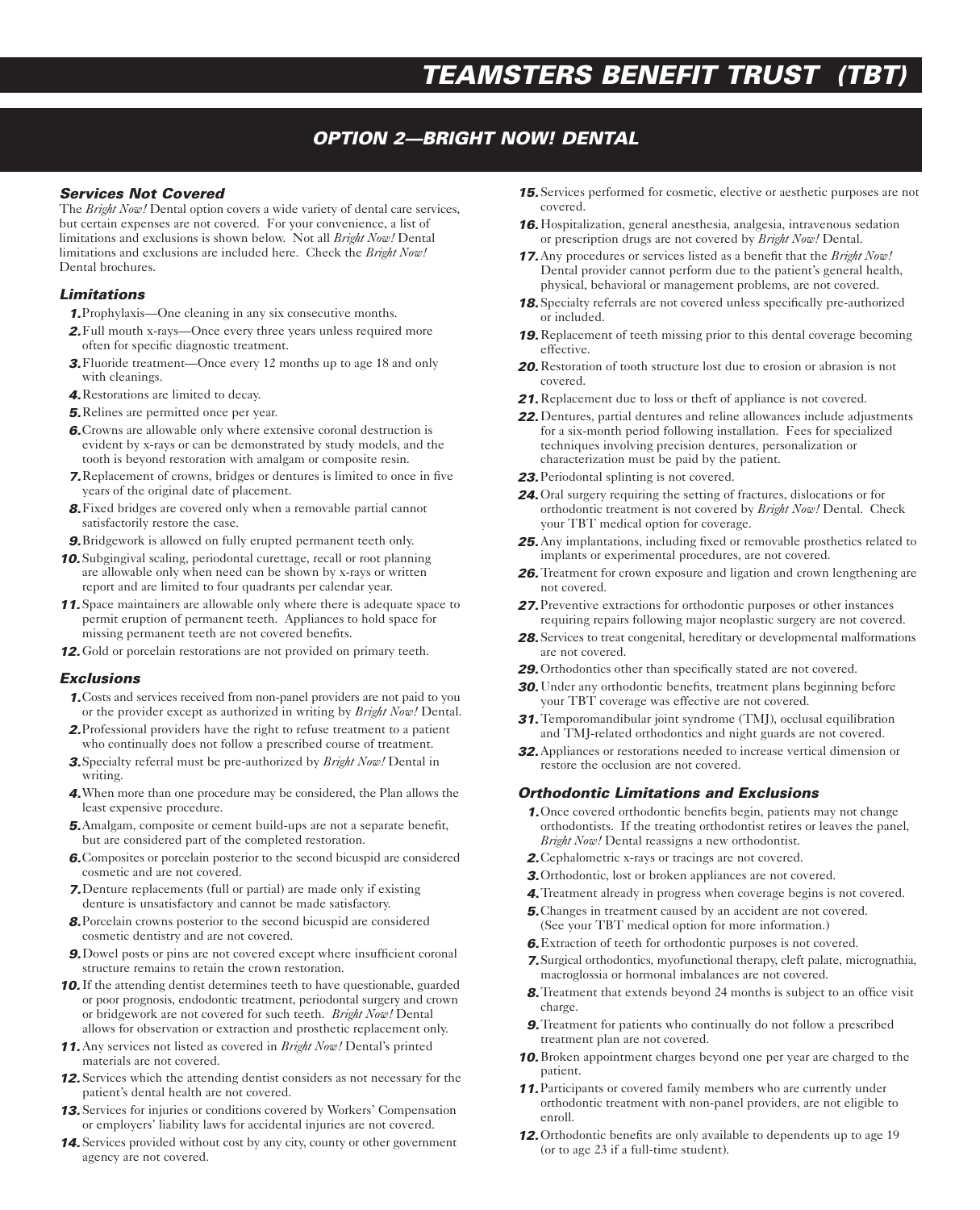# *TEAMSTERS BENEFIT TRUST (TBT)*

## *OPTION 2—BRIGHT NOW! DENTAL*

#### *Services Not Covered*

The *Bright Now!* Dental option covers a wide variety of dental care services, but certain expenses are not covered. For your convenience, a list of limitations and exclusions is shown below. Not all *Bright Now!* Dental limitations and exclusions are included here. Check the *Bright Now!* Dental brochures.

#### *Limitations*

- *1.*Prophylaxis—One cleaning in any six consecutive months.
- *2.*Full mouth x-rays—Once every three years unless required more often for specific diagnostic treatment.
- *3.*Fluoride treatment—Once every 12 months up to age 18 and only with cleanings.
- *4.*Restorations are limited to decay.
- *5.*Relines are permitted once per year.
- *6.*Crowns are allowable only where extensive coronal destruction is evident by x-rays or can be demonstrated by study models, and the tooth is beyond restoration with amalgam or composite resin.
- *7.*Replacement of crowns, bridges or dentures is limited to once in five years of the original date of placement.
- *8.*Fixed bridges are covered only when a removable partial cannot satisfactorily restore the case.
- *9.*Bridgework is allowed on fully erupted permanent teeth only.
- *10.* Subgingival scaling, periodontal curettage, recall or root planning are allowable only when need can be shown by x-rays or written report and are limited to four quadrants per calendar year.
- *11.* Space maintainers are allowable only where there is adequate space to permit eruption of permanent teeth. Appliances to hold space for missing permanent teeth are not covered benefits.
- *12.*Gold or porcelain restorations are not provided on primary teeth.

#### *Exclusions*

- *1.*Costs and services received from non-panel providers are not paid to you or the provider except as authorized in writing by *Bright Now!* Dental.
- *2.*Professional providers have the right to refuse treatment to a patient who continually does not follow a prescribed course of treatment.
- *3.*Specialty referral must be pre-authorized by *Bright Now!* Dental in writing.
- *4.*When more than one procedure may be considered, the Plan allows the least expensive procedure.
- *5.*Amalgam, composite or cement build-ups are not a separate benefit, but are considered part of the completed restoration.
- *6.*Composites or porcelain posterior to the second bicuspid are considered cosmetic and are not covered.
- *7.*Denture replacements (full or partial) are made only if existing denture is unsatisfactory and cannot be made satisfactory.
- *8.*Porcelain crowns posterior to the second bicuspid are considered cosmetic dentistry and are not covered.
- *9.*Dowel posts or pins are not covered except where insufficient coronal structure remains to retain the crown restoration.
- *10.*If the attending dentist determines teeth to have questionable, guarded or poor prognosis, endodontic treatment, periodontal surgery and crown or bridgework are not covered for such teeth. *Bright Now!* Dental allows for observation or extraction and prosthetic replacement only.
- *11.*Any services not listed as covered in *Bright Now!* Dental's printed materials are not covered.
- *12.* Services which the attending dentist considers as not necessary for the patient's dental health are not covered.
- *13.* Services for injuries or conditions covered by Workers' Compensation or employers' liability laws for accidental injuries are not covered.
- *14.* Services provided without cost by any city, county or other government agency are not covered.
- *15.* Services performed for cosmetic, elective or aesthetic purposes are not covered.
- *16.* Hospitalization, general anesthesia, analgesia, intravenous sedation or prescription drugs are not covered by *Bright Now!* Dental.
- *17.*Any procedures or services listed as a benefit that the *Bright Now!* Dental provider cannot perform due to the patient's general health, physical, behavioral or management problems, are not covered.
- *18.* Specialty referrals are not covered unless specifically pre-authorized or included.
- *19.* Replacement of teeth missing prior to this dental coverage becoming effective.
- *20.* Restoration of tooth structure lost due to erosion or abrasion is not covered.
- *21.* Replacement due to loss or theft of appliance is not covered.
- *22.* Dentures, partial dentures and reline allowances include adjustments for a six-month period following installation. Fees for specialized techniques involving precision dentures, personalization or characterization must be paid by the patient.
- *23.*Periodontal splinting is not covered.
- *24.*Oral surgery requiring the setting of fractures, dislocations or for orthodontic treatment is not covered by *Bright Now!* Dental. Check your TBT medical option for coverage.
- *25.*Any implantations, including fixed or removable prosthetics related to implants or experimental procedures, are not covered.
- *26.*Treatment for crown exposure and ligation and crown lengthening are not covered.
- *27.*Preventive extractions for orthodontic purposes or other instances requiring repairs following major neoplastic surgery are not covered.
- *28.* Services to treat congenital, hereditary or developmental malformations are not covered.
- *29.*Orthodontics other than specifically stated are not covered.
- *30.*Under any orthodontic benefits, treatment plans beginning before your TBT coverage was effective are not covered.
- *31.*Temporomandibular joint syndrome (TMJ), occlusal equilibration and TMJ-related orthodontics and night guards are not covered.
- *32.*Appliances or restorations needed to increase vertical dimension or restore the occlusion are not covered.

#### *Orthodontic Limitations and Exclusions*

- *1.*Once covered orthodontic benefits begin, patients may not change orthodontists. If the treating orthodontist retires or leaves the panel, *Bright Now!* Dental reassigns a new orthodontist.
- *2.*Cephalometric x-rays or tracings are not covered.
- *3.*Orthodontic, lost or broken appliances are not covered.
- *4.*Treatment already in progress when coverage begins is not covered.
- *5.*Changes in treatment caused by an accident are not covered. (See your TBT medical option for more information.)
- *6.*Extraction of teeth for orthodontic purposes is not covered.
- *7.*Surgical orthodontics, myofunctional therapy, cleft palate, micrognathia, macroglossia or hormonal imbalances are not covered.
- **8.** Treatment that extends beyond 24 months is subject to an office visit charge.
- *9.*Treatment for patients who continually do not follow a prescribed treatment plan are not covered.
- *10.*Broken appointment charges beyond one per year are charged to the patient.
- *11.*Participants or covered family members who are currently under orthodontic treatment with non-panel providers, are not eligible to enroll.
- *12.*Orthodontic benefits are only available to dependents up to age 19 (or to age 23 if a full-time student).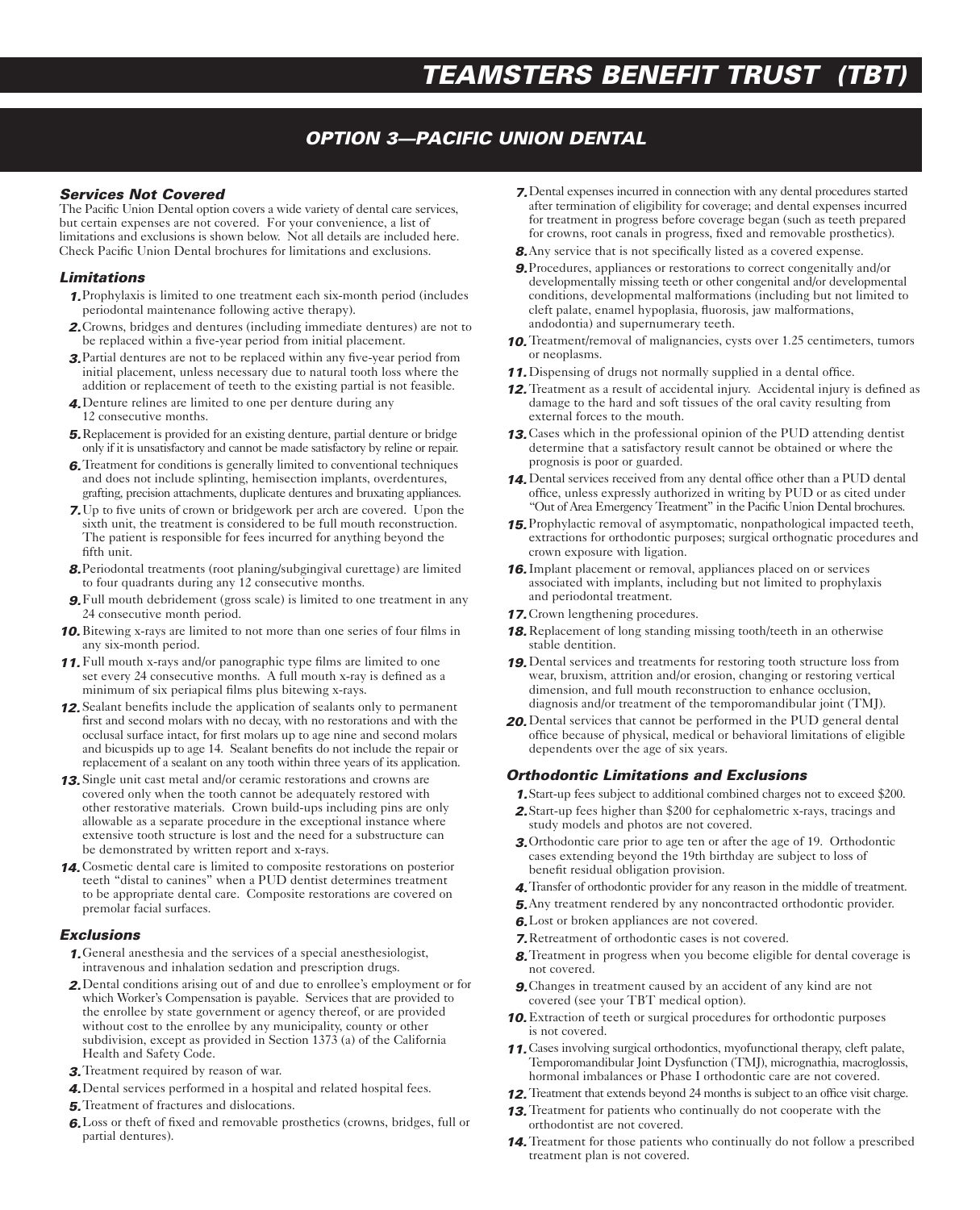## *OPTION 3—PACIFIC UNION DENTAL*

#### *Services Not Covered*

The Pacific Union Dental option covers a wide variety of dental care services, but certain expenses are not covered. For your convenience, a list of limitations and exclusions is shown below. Not all details are included here. Check Pacific Union Dental brochures for limitations and exclusions.

#### *Limitations*

- *1.*Prophylaxis is limited to one treatment each six-month period (includes periodontal maintenance following active therapy).
- *2.*Crowns, bridges and dentures (including immediate dentures) are not to be replaced within a five-year period from initial placement.
- *3.*Partial dentures are not to be replaced within any five-year period from initial placement, unless necessary due to natural tooth loss where the addition or replacement of teeth to the existing partial is not feasible.
- *4.*Denture relines are limited to one per denture during any 12 consecutive months.
- *5.*Replacement is provided for an existing denture, partial denture or bridge only if it is unsatisfactory and cannot be made satisfactory by reline or repair.
- *6.*Treatment for conditions is generally limited to conventional techniques and does not include splinting, hemisection implants, overdentures, grafting, precision attachments, duplicate dentures and bruxating appliances.
- *7.*Up to five units of crown or bridgework per arch are covered. Upon the sixth unit, the treatment is considered to be full mouth reconstruction. The patient is responsible for fees incurred for anything beyond the fifth unit.
- *8.*Periodontal treatments (root planing/subgingival curettage) are limited to four quadrants during any 12 consecutive months.
- *9.*Full mouth debridement (gross scale) is limited to one treatment in any 24 consecutive month period.
- *10.*Bitewing x-rays are limited to not more than one series of four films in any six-month period.
- *11.*Full mouth x-rays and/or panographic type films are limited to one set every 24 consecutive months. A full mouth x-ray is defined as a minimum of six periapical films plus bitewing x-rays.
- *12.* Sealant benefits include the application of sealants only to permanent first and second molars with no decay, with no restorations and with the occlusal surface intact, for first molars up to age nine and second molars and bicuspids up to age 14. Sealant benefits do not include the repair or replacement of a sealant on any tooth within three years of its application.
- *13.* Single unit cast metal and/or ceramic restorations and crowns are covered only when the tooth cannot be adequately restored with other restorative materials. Crown build-ups including pins are only allowable as a separate procedure in the exceptional instance where extensive tooth structure is lost and the need for a substructure can be demonstrated by written report and x-rays.
- *14.* Cosmetic dental care is limited to composite restorations on posterior teeth "distal to canines" when a PUD dentist determines treatment to be appropriate dental care. Composite restorations are covered on premolar facial surfaces.

#### *Exclusions*

- *1.*General anesthesia and the services of a special anesthesiologist, intravenous and inhalation sedation and prescription drugs.
- *2.*Dental conditions arising out of and due to enrollee's employment or for which Worker's Compensation is payable. Services that are provided to the enrollee by state government or agency thereof, or are provided without cost to the enrollee by any municipality, county or other subdivision, except as provided in Section 1373 (a) of the California Health and Safety Code.
- *3.*Treatment required by reason of war.
- *4.*Dental services performed in a hospital and related hospital fees.
- *5.*Treatment of fractures and dislocations.
- *6.*Loss or theft of fixed and removable prosthetics (crowns, bridges, full or partial dentures).
- *7.*Dental expenses incurred in connection with any dental procedures started after termination of eligibility for coverage; and dental expenses incurred for treatment in progress before coverage began (such as teeth prepared for crowns, root canals in progress, fixed and removable prosthetics).
- *8.*Any service that is not specifically listed as a covered expense.
- *9.*Procedures, appliances or restorations to correct congenitally and/or developmentally missing teeth or other congenital and/or developmental conditions, developmental malformations (including but not limited to cleft palate, enamel hypoplasia, fluorosis, jaw malformations, andodontia) and supernumerary teeth.
- **10.** Treatment/removal of malignancies, cysts over 1.25 centimeters, tumors or neoplasms.
- *11.* Dispensing of drugs not normally supplied in a dental office.
- *12.*Treatment as a result of accidental injury. Accidental injury is defined as damage to the hard and soft tissues of the oral cavity resulting from external forces to the mouth.
- *13.* Cases which in the professional opinion of the PUD attending dentist determine that a satisfactory result cannot be obtained or where the prognosis is poor or guarded.
- *14.* Dental services received from any dental office other than a PUD dental office, unless expressly authorized in writing by PUD or as cited under "Out of Area Emergency Treatment" in the Pacific Union Dental brochures.
- *15.*Prophylactic removal of asymptomatic, nonpathological impacted teeth, extractions for orthodontic purposes; surgical orthognatic procedures and crown exposure with ligation.
- *16.*Implant placement or removal, appliances placed on or services associated with implants, including but not limited to prophylaxis and periodontal treatment.
- *17.* Crown lengthening procedures.
- *18.* Replacement of long standing missing tooth/teeth in an otherwise stable dentition.
- *19.* Dental services and treatments for restoring tooth structure loss from wear, bruxism, attrition and/or erosion, changing or restoring vertical dimension, and full mouth reconstruction to enhance occlusion, diagnosis and/or treatment of the temporomandibular joint (TMJ).
- *20.* Dental services that cannot be performed in the PUD general dental office because of physical, medical or behavioral limitations of eligible dependents over the age of six years.

#### *Orthodontic Limitations and Exclusions*

- *1.*Start-up fees subject to additional combined charges not to exceed \$200.
- *2.*Start-up fees higher than \$200 for cephalometric x-rays, tracings and study models and photos are not covered.
- *3.*Orthodontic care prior to age ten or after the age of 19. Orthodontic cases extending beyond the 19th birthday are subject to loss of benefit residual obligation provision.
- *4.*Transfer of orthodontic provider for any reason in the middle of treatment.
- *5.*Any treatment rendered by any noncontracted orthodontic provider.
- *6.*Lost or broken appliances are not covered.
- *7.*Retreatment of orthodontic cases is not covered.
- *8.*Treatment in progress when you become eligible for dental coverage is not covered.
- *9.*Changes in treatment caused by an accident of any kind are not covered (see your TBT medical option).
- *10.* Extraction of teeth or surgical procedures for orthodontic purposes is not covered.
- *11.* Cases involving surgical orthodontics, myofunctional therapy, cleft palate, Temporomandibular Joint Dysfunction (TMJ), micrognathia, macroglossis, hormonal imbalances or Phase I orthodontic care are not covered.
- **12.** Treatment that extends beyond 24 months is subject to an office visit charge.
- *13.*Treatment for patients who continually do not cooperate with the orthodontist are not covered.
- *14.*Treatment for those patients who continually do not follow a prescribed treatment plan is not covered.